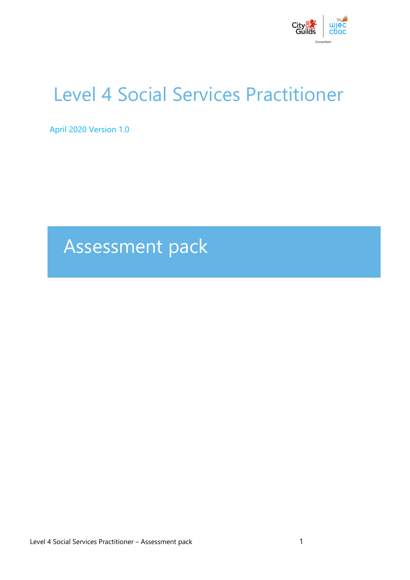

# Level 4 Social Services Practitioner

April 2020 Version 1.0

# Assessment pack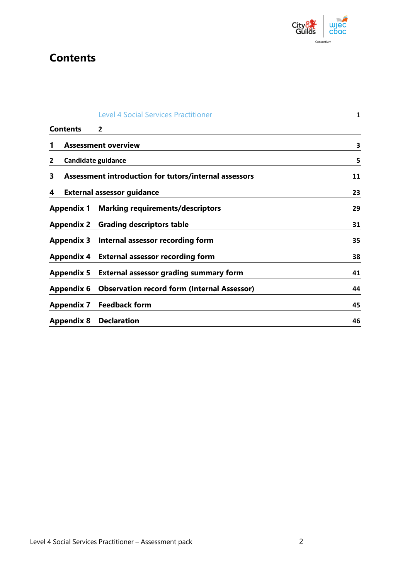

# **Contents**

|   |                   | <b>Level 4 Social Services Practitioner</b>           | $\mathbf 1$ |
|---|-------------------|-------------------------------------------------------|-------------|
|   | <b>Contents</b>   | $\mathbf{2}$                                          |             |
| 1 |                   | <b>Assessment overview</b>                            | 3           |
| 2 |                   | Candidate guidance                                    | 5           |
| 3 |                   | Assessment introduction for tutors/internal assessors | 11          |
| 4 |                   | <b>External assessor guidance</b>                     | 23          |
|   | <b>Appendix 1</b> | <b>Marking requirements/descriptors</b>               | 29          |
|   | <b>Appendix 2</b> | <b>Grading descriptors table</b>                      | 31          |
|   | <b>Appendix 3</b> | Internal assessor recording form                      | 35          |
|   | Appendix 4        | <b>External assessor recording form</b>               | 38          |
|   | <b>Appendix 5</b> | <b>External assessor grading summary form</b>         | 41          |
|   | <b>Appendix 6</b> | <b>Observation record form (Internal Assessor)</b>    | 44          |
|   | <b>Appendix 7</b> | <b>Feedback form</b>                                  | 45          |
|   | <b>Appendix 8</b> | <b>Declaration</b>                                    | 46          |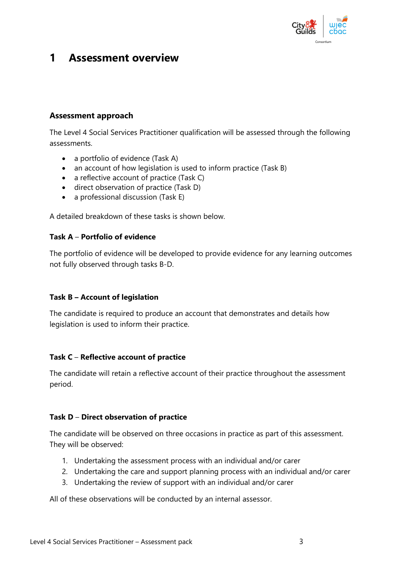

## **1 Assessment overview**

#### **Assessment approach**

The Level 4 Social Services Practitioner qualification will be assessed through the following assessments.

- a portfolio of evidence (Task A)
- an account of how legislation is used to inform practice (Task B)
- a reflective account of practice (Task C)
- direct observation of practice (Task D)
- a professional discussion (Task E)

A detailed breakdown of these tasks is shown below.

#### **Task A** – **Portfolio of evidence**

The portfolio of evidence will be developed to provide evidence for any learning outcomes not fully observed through tasks B-D.

#### **Task B – Account of legislation**

The candidate is required to produce an account that demonstrates and details how legislation is used to inform their practice.

#### **Task C** – **Reflective account of practice**

The candidate will retain a reflective account of their practice throughout the assessment period.

#### **Task D** – **Direct observation of practice**

The candidate will be observed on three occasions in practice as part of this assessment. They will be observed:

- 1. Undertaking the assessment process with an individual and/or carer
- 2. Undertaking the care and support planning process with an individual and/or carer
- 3. Undertaking the review of support with an individual and/or carer

All of these observations will be conducted by an internal assessor.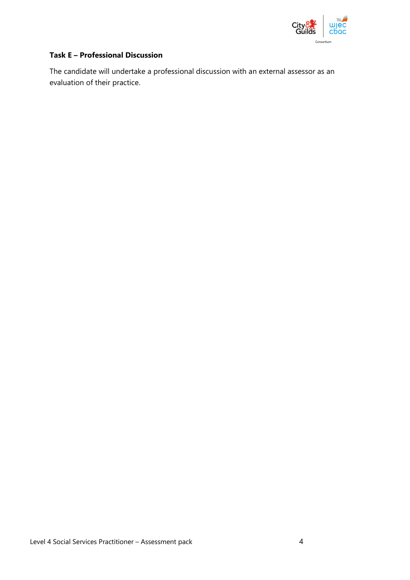

#### **Task E – Professional Discussion**

The candidate will undertake a professional discussion with an external assessor as an evaluation of their practice.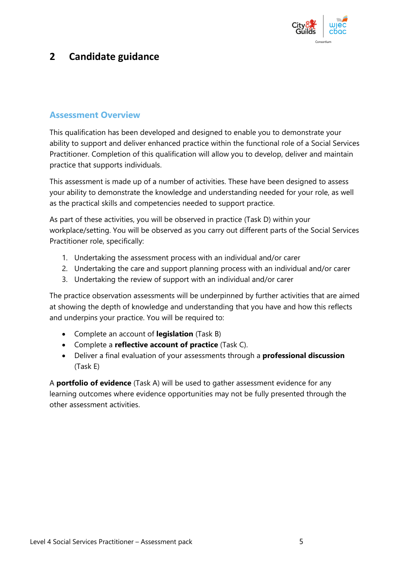

## **2 Candidate guidance**

## **Assessment Overview**

This qualification has been developed and designed to enable you to demonstrate your ability to support and deliver enhanced practice within the functional role of a Social Services Practitioner. Completion of this qualification will allow you to develop, deliver and maintain practice that supports individuals.

This assessment is made up of a number of activities. These have been designed to assess your ability to demonstrate the knowledge and understanding needed for your role, as well as the practical skills and competencies needed to support practice.

As part of these activities, you will be observed in practice (Task D) within your workplace/setting. You will be observed as you carry out different parts of the Social Services Practitioner role, specifically:

- 1. Undertaking the assessment process with an individual and/or carer
- 2. Undertaking the care and support planning process with an individual and/or carer
- 3. Undertaking the review of support with an individual and/or carer

The practice observation assessments will be underpinned by further activities that are aimed at showing the depth of knowledge and understanding that you have and how this reflects and underpins your practice. You will be required to:

- Complete an account of **legislation** (Task B)
- Complete a **reflective account of practice** (Task C).
- Deliver a final evaluation of your assessments through a **professional discussion** (Task E)

A **portfolio of evidence** (Task A) will be used to gather assessment evidence for any learning outcomes where evidence opportunities may not be fully presented through the other assessment activities.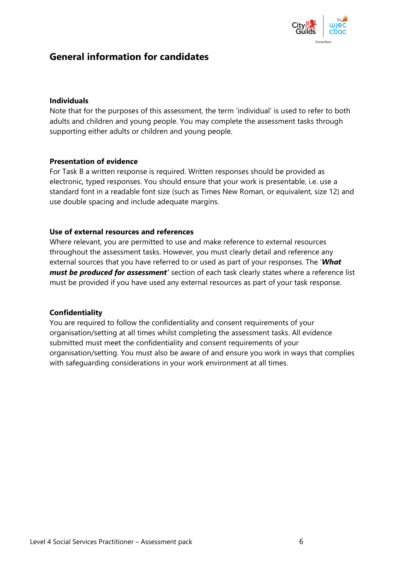

## **General information for candidates**

#### **Individuals**

Note that for the purposes of this assessment, the term 'individual' is used to refer to both adults and children and young people. You may complete the assessment tasks through supporting either adults or children and young people.

#### **Presentation of evidence**

For Task B a written response is required. Written responses should be provided as electronic, typed responses. You should ensure that your work is presentable, i.e. use a standard font in a readable font size (such as Times New Roman, or equivalent, size 12) and use double spacing and include adequate margins.

#### **Use of external resources and references**

Where relevant, you are permitted to use and make reference to external resources throughout the assessment tasks. However, you must clearly detail and reference any external sources that you have referred to or used as part of your responses. The '*What must be produced for assessment'* section of each task clearly states where a reference list must be provided if you have used any external resources as part of your task response.

#### **Confidentiality**

You are required to follow the confidentiality and consent requirements of your organisation/setting at all times whilst completing the assessment tasks. All evidence submitted must meet the confidentiality and consent requirements of your organisation/setting. You must also be aware of and ensure you work in ways that complies with safeguarding considerations in your work environment at all times.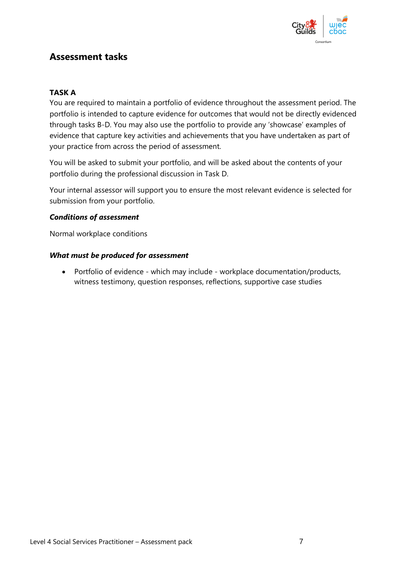

## **Assessment tasks**

#### **TASK A**

You are required to maintain a portfolio of evidence throughout the assessment period. The portfolio is intended to capture evidence for outcomes that would not be directly evidenced through tasks B-D. You may also use the portfolio to provide any 'showcase' examples of evidence that capture key activities and achievements that you have undertaken as part of your practice from across the period of assessment.

You will be asked to submit your portfolio, and will be asked about the contents of your portfolio during the professional discussion in Task D.

Your internal assessor will support you to ensure the most relevant evidence is selected for submission from your portfolio.

#### *Conditions of assessment*

Normal workplace conditions

#### *What must be produced for assessment*

• Portfolio of evidence - which may include - workplace documentation/products, witness testimony, question responses, reflections, supportive case studies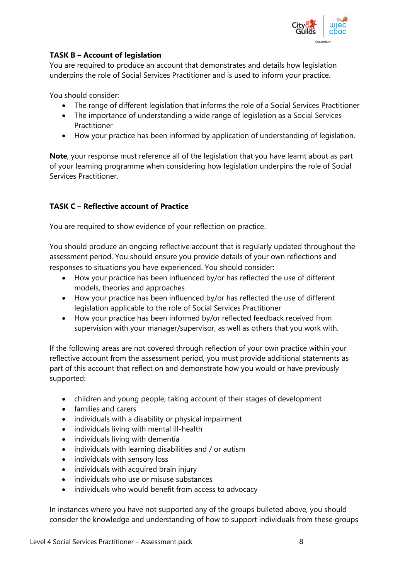

#### **TASK B – Account of legislation**

You are required to produce an account that demonstrates and details how legislation underpins the role of Social Services Practitioner and is used to inform your practice.

You should consider:

- The range of different legislation that informs the role of a Social Services Practitioner
- The importance of understanding a wide range of legislation as a Social Services Practitioner
- How your practice has been informed by application of understanding of legislation.

**Note**, your response must reference all of the legislation that you have learnt about as part of your learning programme when considering how legislation underpins the role of Social Services Practitioner.

#### **TASK C – Reflective account of Practice**

You are required to show evidence of your reflection on practice.

You should produce an ongoing reflective account that is regularly updated throughout the assessment period. You should ensure you provide details of your own reflections and responses to situations you have experienced. You should consider:

- How your practice has been influenced by/or has reflected the use of different models, theories and approaches
- How your practice has been influenced by/or has reflected the use of different legislation applicable to the role of Social Services Practitioner
- How your practice has been informed by/or reflected feedback received from supervision with your manager/supervisor, as well as others that you work with.

If the following areas are not covered through reflection of your own practice within your reflective account from the assessment period, you must provide additional statements as part of this account that reflect on and demonstrate how you would or have previously supported:

- children and young people, taking account of their stages of development
- families and carers
- individuals with a disability or physical impairment
- individuals living with mental ill-health
- individuals living with dementia
- individuals with learning disabilities and / or autism
- individuals with sensory loss
- individuals with acquired brain injury
- individuals who use or misuse substances
- individuals who would benefit from access to advocacy

In instances where you have not supported any of the groups bulleted above, you should consider the knowledge and understanding of how to support individuals from these groups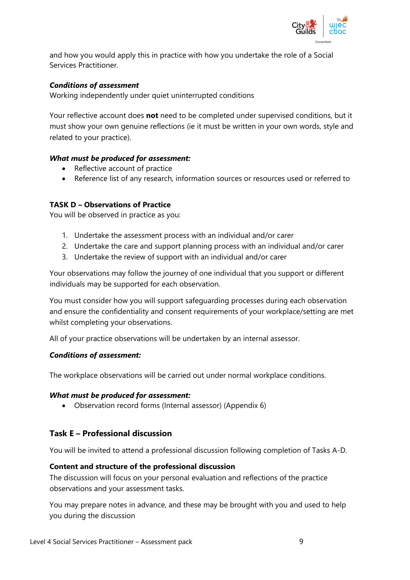

and how you would apply this in practice with how you undertake the role of a Social Services Practitioner.

#### *Conditions of assessment*

Working independently under quiet uninterrupted conditions

Your reflective account does **not** need to be completed under supervised conditions, but it must show your own genuine reflections (ie it must be written in your own words, style and related to your practice).

#### *What must be produced for assessment:*

- Reflective account of practice
- Reference list of any research, information sources or resources used or referred to

#### **TASK D – Observations of Practice**

You will be observed in practice as you:

- 1. Undertake the assessment process with an individual and/or carer
- 2. Undertake the care and support planning process with an individual and/or carer
- 3. Undertake the review of support with an individual and/or carer

Your observations may follow the journey of one individual that you support or different individuals may be supported for each observation.

You must consider how you will support safeguarding processes during each observation and ensure the confidentiality and consent requirements of your workplace/setting are met whilst completing your observations.

All of your practice observations will be undertaken by an internal assessor.

#### *Conditions of assessment:*

The workplace observations will be carried out under normal workplace conditions.

#### *What must be produced for assessment:*

• Observation record forms (Internal assessor) (Appendix 6)

#### **Task E – Professional discussion**

You will be invited to attend a professional discussion following completion of Tasks A-D.

#### **Content and structure of the professional discussion**

The discussion will focus on your personal evaluation and reflections of the practice observations and your assessment tasks.

You may prepare notes in advance, and these may be brought with you and used to help you during the discussion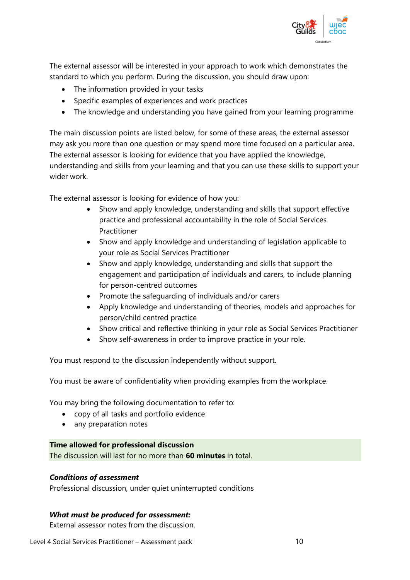

The external assessor will be interested in your approach to work which demonstrates the standard to which you perform. During the discussion, you should draw upon:

- The information provided in your tasks
- Specific examples of experiences and work practices
- The knowledge and understanding you have gained from your learning programme

The main discussion points are listed below, for some of these areas, the external assessor may ask you more than one question or may spend more time focused on a particular area. The external assessor is looking for evidence that you have applied the knowledge, understanding and skills from your learning and that you can use these skills to support your wider work.

The external assessor is looking for evidence of how you:

- Show and apply knowledge, understanding and skills that support effective practice and professional accountability in the role of Social Services Practitioner
- Show and apply knowledge and understanding of legislation applicable to your role as Social Services Practitioner
- Show and apply knowledge, understanding and skills that support the engagement and participation of individuals and carers, to include planning for person-centred outcomes
- Promote the safeguarding of individuals and/or carers
- Apply knowledge and understanding of theories, models and approaches for person/child centred practice
- Show critical and reflective thinking in your role as Social Services Practitioner
- Show self-awareness in order to improve practice in your role.

You must respond to the discussion independently without support.

You must be aware of confidentiality when providing examples from the workplace.

You may bring the following documentation to refer to:

- copy of all tasks and portfolio evidence
- any preparation notes

#### **Time allowed for professional discussion**

The discussion will last for no more than **60 minutes** in total.

#### *Conditions of assessment*

Professional discussion, under quiet uninterrupted conditions

#### *What must be produced for assessment:*

External assessor notes from the discussion.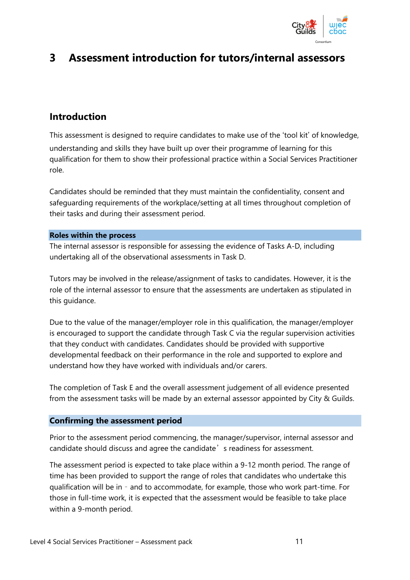

# **3 Assessment introduction for tutors/internal assessors**

## **Introduction**

This assessment is designed to require candidates to make use of the 'tool kit' of knowledge, understanding and skills they have built up over their programme of learning for this qualification for them to show their professional practice within a Social Services Practitioner role.

Candidates should be reminded that they must maintain the confidentiality, consent and safeguarding requirements of the workplace/setting at all times throughout completion of their tasks and during their assessment period.

#### **Roles within the process**

The internal assessor is responsible for assessing the evidence of Tasks A-D, including undertaking all of the observational assessments in Task D.

Tutors may be involved in the release/assignment of tasks to candidates. However, it is the role of the internal assessor to ensure that the assessments are undertaken as stipulated in this guidance.

Due to the value of the manager/employer role in this qualification, the manager/employer is encouraged to support the candidate through Task C via the regular supervision activities that they conduct with candidates. Candidates should be provided with supportive developmental feedback on their performance in the role and supported to explore and understand how they have worked with individuals and/or carers.

The completion of Task E and the overall assessment judgement of all evidence presented from the assessment tasks will be made by an external assessor appointed by City & Guilds.

#### **Confirming the assessment period**

Prior to the assessment period commencing, the manager/supervisor, internal assessor and candidate should discuss and agree the candidate's readiness for assessment.

The assessment period is expected to take place within a 9-12 month period. The range of time has been provided to support the range of roles that candidates who undertake this qualification will be in – and to accommodate, for example, those who work part-time. For those in full-time work, it is expected that the assessment would be feasible to take place within a 9-month period.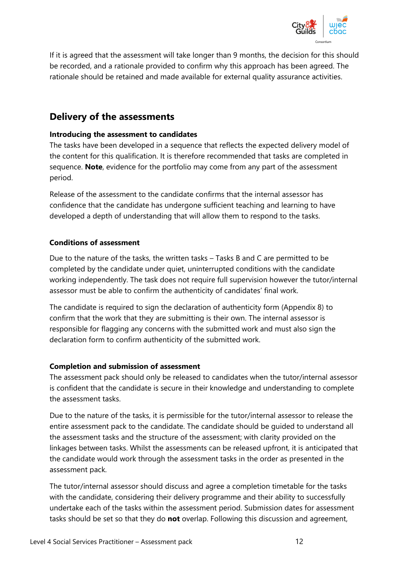

If it is agreed that the assessment will take longer than 9 months, the decision for this should be recorded, and a rationale provided to confirm why this approach has been agreed. The rationale should be retained and made available for external quality assurance activities.

## **Delivery of the assessments**

#### **Introducing the assessment to candidates**

The tasks have been developed in a sequence that reflects the expected delivery model of the content for this qualification. It is therefore recommended that tasks are completed in sequence. **Note**, evidence for the portfolio may come from any part of the assessment period.

Release of the assessment to the candidate confirms that the internal assessor has confidence that the candidate has undergone sufficient teaching and learning to have developed a depth of understanding that will allow them to respond to the tasks.

#### **Conditions of assessment**

Due to the nature of the tasks, the written tasks – Tasks B and C are permitted to be completed by the candidate under quiet, uninterrupted conditions with the candidate working independently. The task does not require full supervision however the tutor/internal assessor must be able to confirm the authenticity of candidates' final work.

The candidate is required to sign the declaration of authenticity form (Appendix 8) to confirm that the work that they are submitting is their own. The internal assessor is responsible for flagging any concerns with the submitted work and must also sign the declaration form to confirm authenticity of the submitted work.

#### **Completion and submission of assessment**

The assessment pack should only be released to candidates when the tutor/internal assessor is confident that the candidate is secure in their knowledge and understanding to complete the assessment tasks.

Due to the nature of the tasks, it is permissible for the tutor/internal assessor to release the entire assessment pack to the candidate. The candidate should be guided to understand all the assessment tasks and the structure of the assessment; with clarity provided on the linkages between tasks. Whilst the assessments can be released upfront, it is anticipated that the candidate would work through the assessment tasks in the order as presented in the assessment pack.

The tutor/internal assessor should discuss and agree a completion timetable for the tasks with the candidate, considering their delivery programme and their ability to successfully undertake each of the tasks within the assessment period. Submission dates for assessment tasks should be set so that they do **not** overlap. Following this discussion and agreement,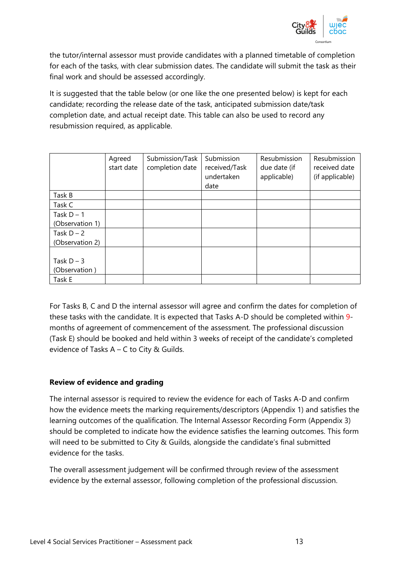

the tutor/internal assessor must provide candidates with a planned timetable of completion for each of the tasks, with clear submission dates. The candidate will submit the task as their final work and should be assessed accordingly.

It is suggested that the table below (or one like the one presented below) is kept for each candidate; recording the release date of the task, anticipated submission date/task completion date, and actual receipt date. This table can also be used to record any resubmission required, as applicable.

|                 | Agreed<br>start date | Submission/Task<br>completion date | Submission<br>received/Task<br>undertaken<br>date | Resubmission<br>due date (if<br>applicable) | Resubmission<br>received date<br>(if applicable) |
|-----------------|----------------------|------------------------------------|---------------------------------------------------|---------------------------------------------|--------------------------------------------------|
| Task B          |                      |                                    |                                                   |                                             |                                                  |
| Task C          |                      |                                    |                                                   |                                             |                                                  |
| Task $D - 1$    |                      |                                    |                                                   |                                             |                                                  |
| (Observation 1) |                      |                                    |                                                   |                                             |                                                  |
| Task $D - 2$    |                      |                                    |                                                   |                                             |                                                  |
| (Observation 2) |                      |                                    |                                                   |                                             |                                                  |
|                 |                      |                                    |                                                   |                                             |                                                  |
| Task $D - 3$    |                      |                                    |                                                   |                                             |                                                  |
| (Observation)   |                      |                                    |                                                   |                                             |                                                  |
| Task E          |                      |                                    |                                                   |                                             |                                                  |

For Tasks B, C and D the internal assessor will agree and confirm the dates for completion of these tasks with the candidate. It is expected that Tasks A-D should be completed within 9 months of agreement of commencement of the assessment. The professional discussion (Task E) should be booked and held within 3 weeks of receipt of the candidate's completed evidence of Tasks A – C to City & Guilds.

#### **Review of evidence and grading**

The internal assessor is required to review the evidence for each of Tasks A-D and confirm how the evidence meets the marking requirements/descriptors (Appendix 1) and satisfies the learning outcomes of the qualification. The Internal Assessor Recording Form (Appendix 3) should be completed to indicate how the evidence satisfies the learning outcomes. This form will need to be submitted to City & Guilds, alongside the candidate's final submitted evidence for the tasks.

The overall assessment judgement will be confirmed through review of the assessment evidence by the external assessor, following completion of the professional discussion.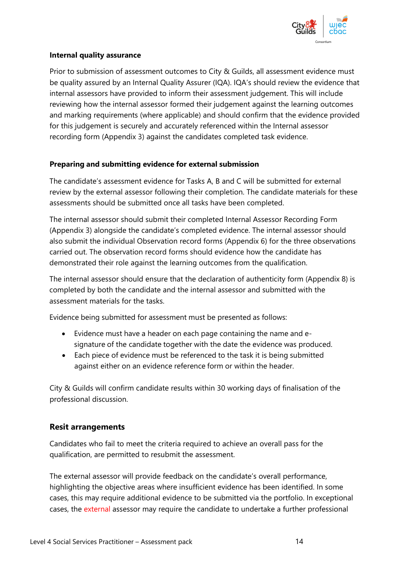

#### **Internal quality assurance**

Prior to submission of assessment outcomes to City & Guilds, all assessment evidence must be quality assured by an Internal Quality Assurer (IQA). IQA's should review the evidence that internal assessors have provided to inform their assessment judgement. This will include reviewing how the internal assessor formed their judgement against the learning outcomes and marking requirements (where applicable) and should confirm that the evidence provided for this judgement is securely and accurately referenced within the Internal assessor recording form (Appendix 3) against the candidates completed task evidence.

#### **Preparing and submitting evidence for external submission**

The candidate's assessment evidence for Tasks A, B and C will be submitted for external review by the external assessor following their completion. The candidate materials for these assessments should be submitted once all tasks have been completed.

The internal assessor should submit their completed Internal Assessor Recording Form (Appendix 3) alongside the candidate's completed evidence. The internal assessor should also submit the individual Observation record forms (Appendix 6) for the three observations carried out. The observation record forms should evidence how the candidate has demonstrated their role against the learning outcomes from the qualification.

The internal assessor should ensure that the declaration of authenticity form (Appendix 8) is completed by both the candidate and the internal assessor and submitted with the assessment materials for the tasks.

Evidence being submitted for assessment must be presented as follows:

- Evidence must have a header on each page containing the name and esignature of the candidate together with the date the evidence was produced.
- Each piece of evidence must be referenced to the task it is being submitted against either on an evidence reference form or within the header.

City & Guilds will confirm candidate results within 30 working days of finalisation of the professional discussion.

#### **Resit arrangements**

Candidates who fail to meet the criteria required to achieve an overall pass for the qualification, are permitted to resubmit the assessment.

The external assessor will provide feedback on the candidate's overall performance, highlighting the objective areas where insufficient evidence has been identified. In some cases, this may require additional evidence to be submitted via the portfolio. In exceptional cases, the external assessor may require the candidate to undertake a further professional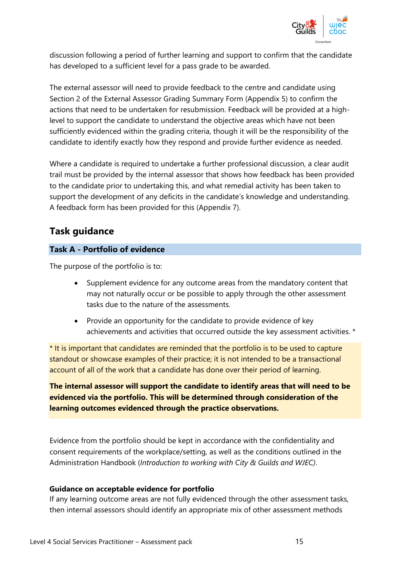

discussion following a period of further learning and support to confirm that the candidate has developed to a sufficient level for a pass grade to be awarded.

The external assessor will need to provide feedback to the centre and candidate using Section 2 of the External Assessor Grading Summary Form (Appendix 5) to confirm the actions that need to be undertaken for resubmission. Feedback will be provided at a highlevel to support the candidate to understand the objective areas which have not been sufficiently evidenced within the grading criteria, though it will be the responsibility of the candidate to identify exactly how they respond and provide further evidence as needed.

Where a candidate is required to undertake a further professional discussion, a clear audit trail must be provided by the internal assessor that shows how feedback has been provided to the candidate prior to undertaking this, and what remedial activity has been taken to support the development of any deficits in the candidate's knowledge and understanding. A feedback form has been provided for this (Appendix 7).

## **Task guidance**

#### **Task A - Portfolio of evidence**

The purpose of the portfolio is to:

- Supplement evidence for any outcome areas from the mandatory content that may not naturally occur or be possible to apply through the other assessment tasks due to the nature of the assessments.
- Provide an opportunity for the candidate to provide evidence of key achievements and activities that occurred outside the key assessment activities. \*

\* It is important that candidates are reminded that the portfolio is to be used to capture standout or showcase examples of their practice; it is not intended to be a transactional account of all of the work that a candidate has done over their period of learning.

**The internal assessor will support the candidate to identify areas that will need to be evidenced via the portfolio. This will be determined through consideration of the learning outcomes evidenced through the practice observations.**

Evidence from the portfolio should be kept in accordance with the confidentiality and consent requirements of the workplace/setting, as well as the conditions outlined in the Administration Handbook (*Introduction to working with City & Guilds and WJEC)*.

#### **Guidance on acceptable evidence for portfolio**

If any learning outcome areas are not fully evidenced through the other assessment tasks, then internal assessors should identify an appropriate mix of other assessment methods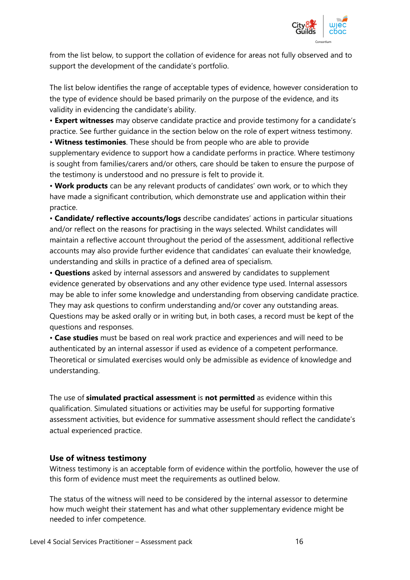

from the list below, to support the collation of evidence for areas not fully observed and to support the development of the candidate's portfolio.

The list below identifies the range of acceptable types of evidence, however consideration to the type of evidence should be based primarily on the purpose of the evidence, and its validity in evidencing the candidate's ability.

• **Expert witnesses** may observe candidate practice and provide testimony for a candidate's practice. See further guidance in the section below on the role of expert witness testimony. • **Witness testimonies**. These should be from people who are able to provide

supplementary evidence to support how a candidate performs in practice. Where testimony is sought from families/carers and/or others, care should be taken to ensure the purpose of the testimony is understood and no pressure is felt to provide it.

• **Work products** can be any relevant products of candidates' own work, or to which they have made a significant contribution, which demonstrate use and application within their practice.

• **Candidate/ reflective accounts/logs** describe candidates' actions in particular situations and/or reflect on the reasons for practising in the ways selected. Whilst candidates will maintain a reflective account throughout the period of the assessment, additional reflective accounts may also provide further evidence that candidates' can evaluate their knowledge, understanding and skills in practice of a defined area of specialism.

• **Questions** asked by internal assessors and answered by candidates to supplement evidence generated by observations and any other evidence type used. Internal assessors may be able to infer some knowledge and understanding from observing candidate practice. They may ask questions to confirm understanding and/or cover any outstanding areas. Questions may be asked orally or in writing but, in both cases, a record must be kept of the questions and responses.

• **Case studies** must be based on real work practice and experiences and will need to be authenticated by an internal assessor if used as evidence of a competent performance. Theoretical or simulated exercises would only be admissible as evidence of knowledge and understanding.

The use of **simulated practical assessment** is **not permitted** as evidence within this qualification. Simulated situations or activities may be useful for supporting formative assessment activities, but evidence for summative assessment should reflect the candidate's actual experienced practice.

#### **Use of witness testimony**

Witness testimony is an acceptable form of evidence within the portfolio, however the use of this form of evidence must meet the requirements as outlined below.

The status of the witness will need to be considered by the internal assessor to determine how much weight their statement has and what other supplementary evidence might be needed to infer competence.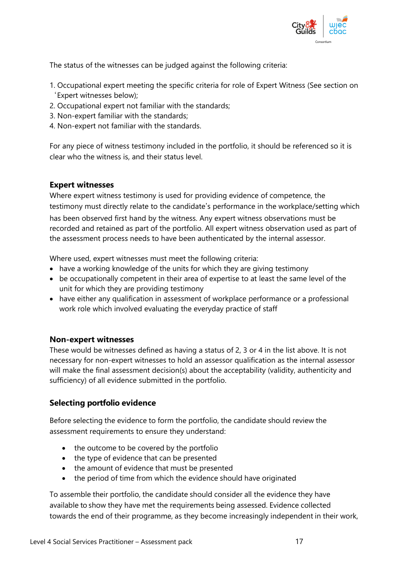

The status of the witnesses can be judged against the following criteria:

- 1. Occupational expert meeting the specific criteria for role of Expert Witness (See section on 'Expert witnesses below);
- 2. Occupational expert not familiar with the standards;
- 3. Non-expert familiar with the standards;
- 4. Non-expert not familiar with the standards.

For any piece of witness testimony included in the portfolio, it should be referenced so it is clear who the witness is, and their status level.

#### **Expert witnesses**

Where expert witness testimony is used for providing evidence of competence, the testimony must directly relate to the candidate's performance in the workplace/setting which

has been observed first hand by the witness. Any expert witness observations must be recorded and retained as part of the portfolio. All expert witness observation used as part of the assessment process needs to have been authenticated by the internal assessor.

Where used, expert witnesses must meet the following criteria:

- have a working knowledge of the units for which they are giving testimony
- be occupationally competent in their area of expertise to at least the same level of the unit for which they are providing testimony
- have either any qualification in assessment of workplace performance or a professional work role which involved evaluating the everyday practice of staff

#### **Non-expert witnesses**

These would be witnesses defined as having a status of 2, 3 or 4 in the list above. It is not necessary for non-expert witnesses to hold an assessor qualification as the internal assessor will make the final assessment decision(s) about the acceptability (validity, authenticity and sufficiency) of all evidence submitted in the portfolio.

#### **Selecting portfolio evidence**

Before selecting the evidence to form the portfolio, the candidate should review the assessment requirements to ensure they understand:

- the outcome to be covered by the portfolio
- the type of evidence that can be presented
- the amount of evidence that must be presented
- the period of time from which the evidence should have originated

To assemble their portfolio, the candidate should consider all the evidence they have available to show they have met the requirements being assessed. Evidence collected towards the end of their programme, as they become increasingly independent in their work,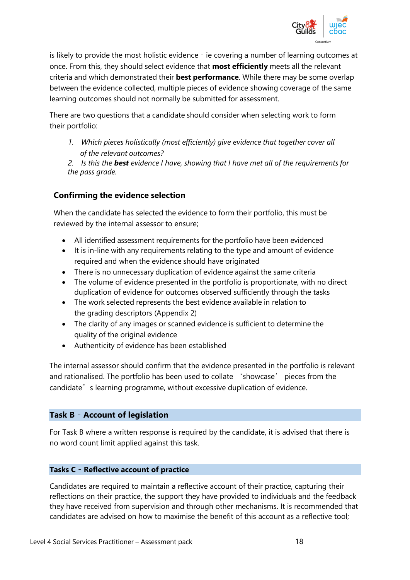

is likely to provide the most holistic evidence – ie covering a number of learning outcomes at once. From this, they should select evidence that **most efficiently** meets all the relevant criteria and which demonstrated their **best performance**. While there may be some overlap between the evidence collected, multiple pieces of evidence showing coverage of the same learning outcomes should not normally be submitted for assessment.

There are two questions that a candidate should consider when selecting work to form their portfolio:

- *1. Which pieces holistically (most efficiently) give evidence that together cover all of the relevant outcomes?*
- *2. Is this the best evidence I have, showing that I have met all of the requirements for the pass grade.*

### **Confirming the evidence selection**

When the candidate has selected the evidence to form their portfolio, this must be reviewed by the internal assessor to ensure;

- All identified assessment requirements for the portfolio have been evidenced
- It is in-line with any requirements relating to the type and amount of evidence required and when the evidence should have originated
- There is no unnecessary duplication of evidence against the same criteria
- The volume of evidence presented in the portfolio is proportionate, with no direct duplication of evidence for outcomes observed sufficiently through the tasks
- The work selected represents the best evidence available in relation to the grading descriptors (Appendix 2)
- The clarity of any images or scanned evidence is sufficient to determine the quality of the original evidence
- Authenticity of evidence has been established

The internal assessor should confirm that the evidence presented in the portfolio is relevant and rationalised. The portfolio has been used to collate 'showcase' pieces from the candidate's learning programme, without excessive duplication of evidence.

#### **Task B** – **Account of legislation**

For Task B where a written response is required by the candidate, it is advised that there is no word count limit applied against this task.

#### **Tasks C** – **Reflective account of practice**

Candidates are required to maintain a reflective account of their practice, capturing their reflections on their practice, the support they have provided to individuals and the feedback they have received from supervision and through other mechanisms. It is recommended that candidates are advised on how to maximise the benefit of this account as a reflective tool;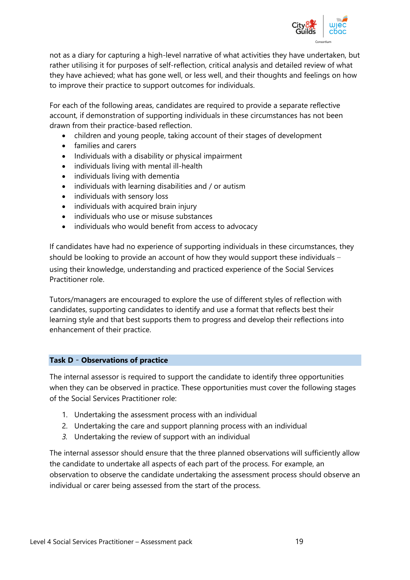

not as a diary for capturing a high-level narrative of what activities they have undertaken, but rather utilising it for purposes of self-reflection, critical analysis and detailed review of what they have achieved; what has gone well, or less well, and their thoughts and feelings on how to improve their practice to support outcomes for individuals.

For each of the following areas, candidates are required to provide a separate reflective account, if demonstration of supporting individuals in these circumstances has not been drawn from their practice-based reflection.

- children and young people, taking account of their stages of development
- families and carers
- Individuals with a disability or physical impairment
- individuals living with mental ill-health
- individuals living with dementia
- individuals with learning disabilities and / or autism
- individuals with sensory loss
- individuals with acquired brain injury
- individuals who use or misuse substances
- individuals who would benefit from access to advocacy

If candidates have had no experience of supporting individuals in these circumstances, they should be looking to provide an account of how they would support these individuals – using their knowledge, understanding and practiced experience of the Social Services Practitioner role.

Tutors/managers are encouraged to explore the use of different styles of reflection with candidates, supporting candidates to identify and use a format that reflects best their learning style and that best supports them to progress and develop their reflections into enhancement of their practice.

#### **Task D** – **Observations of practice**

The internal assessor is required to support the candidate to identify three opportunities when they can be observed in practice. These opportunities must cover the following stages of the Social Services Practitioner role:

- 1. Undertaking the assessment process with an individual
- 2. Undertaking the care and support planning process with an individual
- *3.* Undertaking the review of support with an individual

The internal assessor should ensure that the three planned observations will sufficiently allow the candidate to undertake all aspects of each part of the process. For example, an observation to observe the candidate undertaking the assessment process should observe an individual or carer being assessed from the start of the process.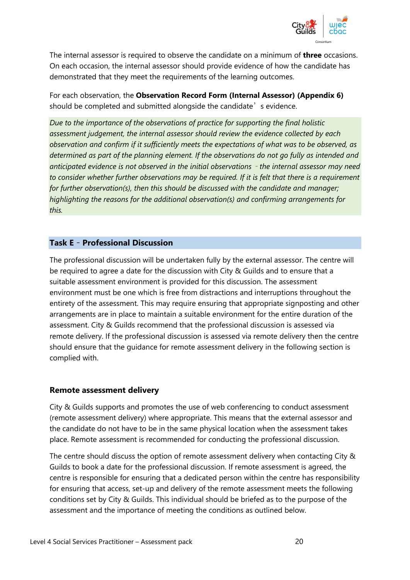

The internal assessor is required to observe the candidate on a minimum of **three** occasions. On each occasion, the internal assessor should provide evidence of how the candidate has demonstrated that they meet the requirements of the learning outcomes.

For each observation, the **Observation Record Form (Internal Assessor) (Appendix 6)**  should be completed and submitted alongside the candidate's evidence.

*Due to the importance of the observations of practice for supporting the final holistic assessment judgement, the internal assessor should review the evidence collected by each observation and confirm if it sufficiently meets the expectations of what was to be observed, as determined as part of the planning element. If the observations do not go fully as intended and anticipated evidence is not observed in the initial observations* – *the internal assessor may need to consider whether further observations may be required. If it is felt that there is a requirement for further observation(s), then this should be discussed with the candidate and manager; highlighting the reasons for the additional observation(s) and confirming arrangements for this.* 

#### **Task E** – **Professional Discussion**

The professional discussion will be undertaken fully by the external assessor. The centre will be required to agree a date for the discussion with City & Guilds and to ensure that a suitable assessment environment is provided for this discussion. The assessment environment must be one which is free from distractions and interruptions throughout the entirety of the assessment. This may require ensuring that appropriate signposting and other arrangements are in place to maintain a suitable environment for the entire duration of the assessment. City & Guilds recommend that the professional discussion is assessed via remote delivery. If the professional discussion is assessed via remote delivery then the centre should ensure that the guidance for remote assessment delivery in the following section is complied with.

#### **Remote assessment delivery**

City & Guilds supports and promotes the use of web conferencing to conduct assessment (remote assessment delivery) where appropriate. This means that the external assessor and the candidate do not have to be in the same physical location when the assessment takes place. Remote assessment is recommended for conducting the professional discussion.

The centre should discuss the option of remote assessment delivery when contacting City & Guilds to book a date for the professional discussion. If remote assessment is agreed, the centre is responsible for ensuring that a dedicated person within the centre has responsibility for ensuring that access, set-up and delivery of the remote assessment meets the following conditions set by City & Guilds. This individual should be briefed as to the purpose of the assessment and the importance of meeting the conditions as outlined below.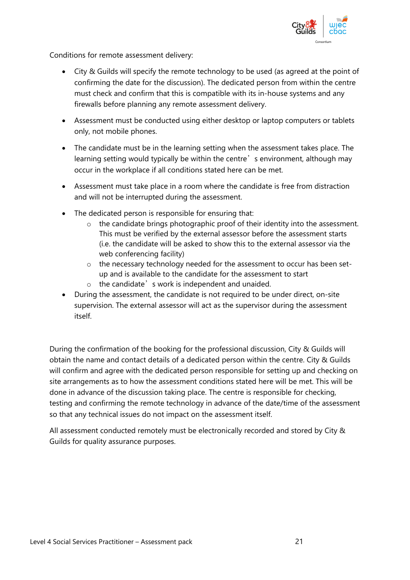

Conditions for remote assessment delivery:

- City & Guilds will specify the remote technology to be used (as agreed at the point of confirming the date for the discussion). The dedicated person from within the centre must check and confirm that this is compatible with its in-house systems and any firewalls before planning any remote assessment delivery.
- Assessment must be conducted using either desktop or laptop computers or tablets only, not mobile phones.
- The candidate must be in the learning setting when the assessment takes place. The learning setting would typically be within the centre's environment, although may occur in the workplace if all conditions stated here can be met.
- Assessment must take place in a room where the candidate is free from distraction and will not be interrupted during the assessment.
- The dedicated person is responsible for ensuring that:
	- o the candidate brings photographic proof of their identity into the assessment. This must be verified by the external assessor before the assessment starts (i.e. the candidate will be asked to show this to the external assessor via the web conferencing facility)
	- o the necessary technology needed for the assessment to occur has been setup and is available to the candidate for the assessment to start
	- $\circ$  the candidate's work is independent and unaided.
- During the assessment, the candidate is not required to be under direct, on-site supervision. The external assessor will act as the supervisor during the assessment itself.

During the confirmation of the booking for the professional discussion, City & Guilds will obtain the name and contact details of a dedicated person within the centre. City & Guilds will confirm and agree with the dedicated person responsible for setting up and checking on site arrangements as to how the assessment conditions stated here will be met. This will be done in advance of the discussion taking place. The centre is responsible for checking, testing and confirming the remote technology in advance of the date/time of the assessment so that any technical issues do not impact on the assessment itself.

All assessment conducted remotely must be electronically recorded and stored by City & Guilds for quality assurance purposes.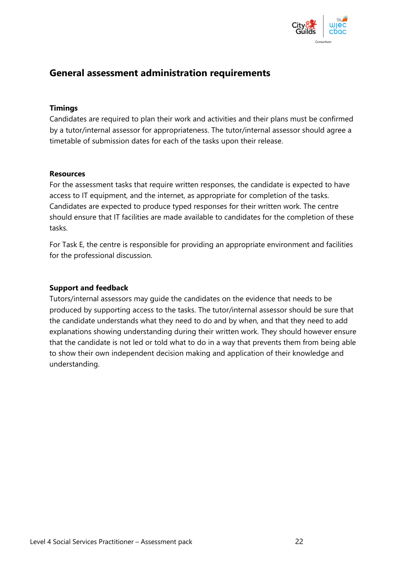

## **General assessment administration requirements**

#### **Timings**

Candidates are required to plan their work and activities and their plans must be confirmed by a tutor/internal assessor for appropriateness. The tutor/internal assessor should agree a timetable of submission dates for each of the tasks upon their release.

#### **Resources**

For the assessment tasks that require written responses, the candidate is expected to have access to IT equipment, and the internet, as appropriate for completion of the tasks. Candidates are expected to produce typed responses for their written work. The centre should ensure that IT facilities are made available to candidates for the completion of these tasks.

For Task E, the centre is responsible for providing an appropriate environment and facilities for the professional discussion.

#### **Support and feedback**

Tutors/internal assessors may guide the candidates on the evidence that needs to be produced by supporting access to the tasks. The tutor/internal assessor should be sure that the candidate understands what they need to do and by when, and that they need to add explanations showing understanding during their written work. They should however ensure that the candidate is not led or told what to do in a way that prevents them from being able to show their own independent decision making and application of their knowledge and understanding.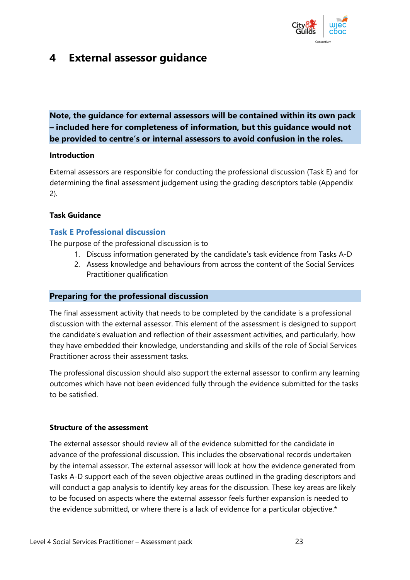

## **4 External assessor guidance**

**Note, the guidance for external assessors will be contained within its own pack – included here for completeness of information, but this guidance would not be provided to centre's or internal assessors to avoid confusion in the roles.**

#### **Introduction**

External assessors are responsible for conducting the professional discussion (Task E) and for determining the final assessment judgement using the grading descriptors table (Appendix 2).

#### **Task Guidance**

#### **Task E Professional discussion**

The purpose of the professional discussion is to

- 1. Discuss information generated by the candidate's task evidence from Tasks A-D
- 2. Assess knowledge and behaviours from across the content of the Social Services Practitioner qualification

#### **Preparing for the professional discussion**

The final assessment activity that needs to be completed by the candidate is a professional discussion with the external assessor. This element of the assessment is designed to support the candidate's evaluation and reflection of their assessment activities, and particularly, how they have embedded their knowledge, understanding and skills of the role of Social Services Practitioner across their assessment tasks.

The professional discussion should also support the external assessor to confirm any learning outcomes which have not been evidenced fully through the evidence submitted for the tasks to be satisfied.

#### **Structure of the assessment**

The external assessor should review all of the evidence submitted for the candidate in advance of the professional discussion. This includes the observational records undertaken by the internal assessor. The external assessor will look at how the evidence generated from Tasks A-D support each of the seven objective areas outlined in the grading descriptors and will conduct a gap analysis to identify key areas for the discussion. These key areas are likely to be focused on aspects where the external assessor feels further expansion is needed to the evidence submitted, or where there is a lack of evidence for a particular objective.\*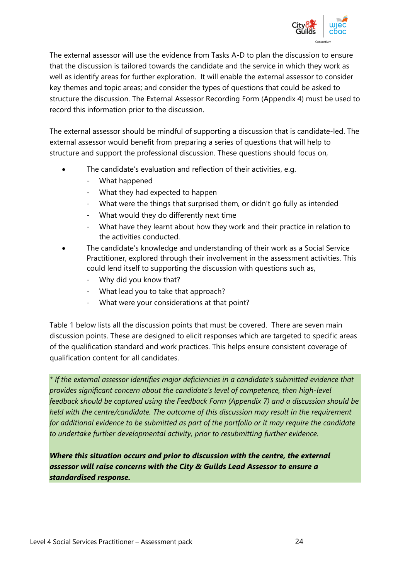

The external assessor will use the evidence from Tasks A-D to plan the discussion to ensure that the discussion is tailored towards the candidate and the service in which they work as well as identify areas for further exploration. It will enable the external assessor to consider key themes and topic areas; and consider the types of questions that could be asked to structure the discussion. The External Assessor Recording Form (Appendix 4) must be used to record this information prior to the discussion.

The external assessor should be mindful of supporting a discussion that is candidate-led. The external assessor would benefit from preparing a series of questions that will help to structure and support the professional discussion. These questions should focus on,

- The candidate's evaluation and reflection of their activities, e.g.
	- What happened
	- What they had expected to happen
	- What were the things that surprised them, or didn't go fully as intended
	- What would they do differently next time
	- What have they learnt about how they work and their practice in relation to the activities conducted.
- The candidate's knowledge and understanding of their work as a Social Service Practitioner, explored through their involvement in the assessment activities. This could lend itself to supporting the discussion with questions such as,
	- Why did you know that?
	- What lead you to take that approach?
	- What were your considerations at that point?

Table 1 below lists all the discussion points that must be covered. There are seven main discussion points. These are designed to elicit responses which are targeted to specific areas of the qualification standard and work practices. This helps ensure consistent coverage of qualification content for all candidates.

*\* If the external assessor identifies major deficiencies in a candidate's submitted evidence that provides significant concern about the candidate's level of competence, then high-level feedback should be captured using the Feedback Form (Appendix 7) and a discussion should be held with the centre/candidate. The outcome of this discussion may result in the requirement for additional evidence to be submitted as part of the portfolio or it may require the candidate to undertake further developmental activity, prior to resubmitting further evidence.* 

*Where this situation occurs and prior to discussion with the centre, the external assessor will raise concerns with the City & Guilds Lead Assessor to ensure a standardised response.*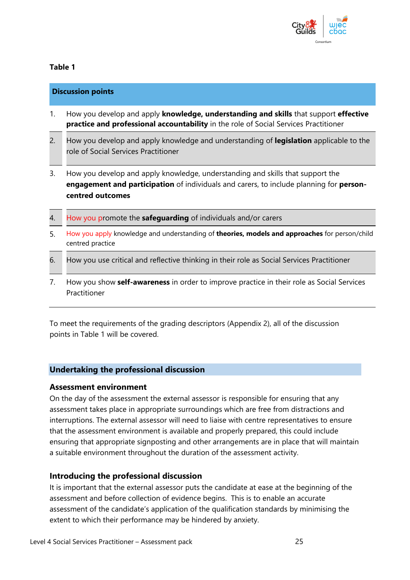

#### **Table 1**

|     | <b>Discussion points</b>                                                                                                                                                                      |
|-----|-----------------------------------------------------------------------------------------------------------------------------------------------------------------------------------------------|
| 1.  | How you develop and apply knowledge, understanding and skills that support effective<br>practice and professional accountability in the role of Social Services Practitioner                  |
| 2.  | How you develop and apply knowledge and understanding of legislation applicable to the<br>role of Social Services Practitioner                                                                |
| 3.  | How you develop and apply knowledge, understanding and skills that support the<br>engagement and participation of individuals and carers, to include planning for person-<br>centred outcomes |
| 4.  | How you promote the safeguarding of individuals and/or carers                                                                                                                                 |
| .5. | How you apply knowledge and understanding of <b>theories, models and approaches</b> for person/child<br>centred practice                                                                      |
| 6.  | How you use critical and reflective thinking in their role as Social Services Practitioner                                                                                                    |

7. How you show **self-awareness** in order to improve practice in their role as Social Services Practitioner

To meet the requirements of the grading descriptors (Appendix 2), all of the discussion points in Table 1 will be covered.

#### **Undertaking the professional discussion**

#### **Assessment environment**

On the day of the assessment the external assessor is responsible for ensuring that any assessment takes place in appropriate surroundings which are free from distractions and interruptions. The external assessor will need to liaise with centre representatives to ensure that the assessment environment is available and properly prepared, this could include ensuring that appropriate signposting and other arrangements are in place that will maintain a suitable environment throughout the duration of the assessment activity.

#### **Introducing the professional discussion**

It is important that the external assessor puts the candidate at ease at the beginning of the assessment and before collection of evidence begins. This is to enable an accurate assessment of the candidate's application of the qualification standards by minimising the extent to which their performance may be hindered by anxiety.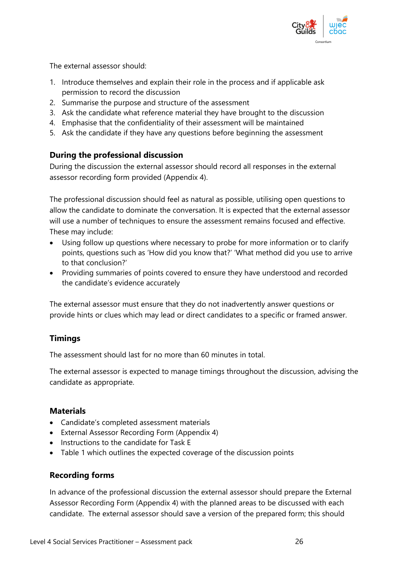

The external assessor should:

- 1. Introduce themselves and explain their role in the process and if applicable ask permission to record the discussion
- 2. Summarise the purpose and structure of the assessment
- 3. Ask the candidate what reference material they have brought to the discussion
- 4. Emphasise that the confidentiality of their assessment will be maintained
- 5. Ask the candidate if they have any questions before beginning the assessment

#### **During the professional discussion**

During the discussion the external assessor should record all responses in the external assessor recording form provided (Appendix 4).

The professional discussion should feel as natural as possible, utilising open questions to allow the candidate to dominate the conversation. It is expected that the external assessor will use a number of techniques to ensure the assessment remains focused and effective. These may include:

- Using follow up questions where necessary to probe for more information or to clarify points, questions such as 'How did you know that?' 'What method did you use to arrive to that conclusion?'
- Providing summaries of points covered to ensure they have understood and recorded the candidate's evidence accurately

The external assessor must ensure that they do not inadvertently answer questions or provide hints or clues which may lead or direct candidates to a specific or framed answer.

#### **Timings**

The assessment should last for no more than 60 minutes in total.

The external assessor is expected to manage timings throughout the discussion, advising the candidate as appropriate.

#### **Materials**

- Candidate's completed assessment materials
- External Assessor Recording Form (Appendix 4)
- Instructions to the candidate for Task E
- Table 1 which outlines the expected coverage of the discussion points

#### **Recording forms**

In advance of the professional discussion the external assessor should prepare the External Assessor Recording Form (Appendix 4) with the planned areas to be discussed with each candidate. The external assessor should save a version of the prepared form; this should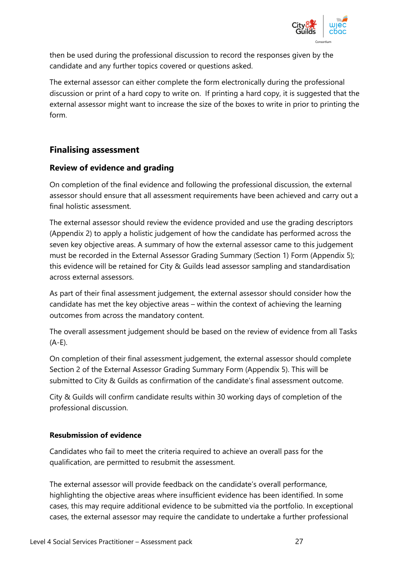

then be used during the professional discussion to record the responses given by the candidate and any further topics covered or questions asked.

The external assessor can either complete the form electronically during the professional discussion or print of a hard copy to write on. If printing a hard copy, it is suggested that the external assessor might want to increase the size of the boxes to write in prior to printing the form.

## **Finalising assessment**

### **Review of evidence and grading**

On completion of the final evidence and following the professional discussion, the external assessor should ensure that all assessment requirements have been achieved and carry out a final holistic assessment.

The external assessor should review the evidence provided and use the grading descriptors (Appendix 2) to apply a holistic judgement of how the candidate has performed across the seven key objective areas. A summary of how the external assessor came to this judgement must be recorded in the External Assessor Grading Summary (Section 1) Form (Appendix 5); this evidence will be retained for City & Guilds lead assessor sampling and standardisation across external assessors.

As part of their final assessment judgement, the external assessor should consider how the candidate has met the key objective areas – within the context of achieving the learning outcomes from across the mandatory content.

The overall assessment judgement should be based on the review of evidence from all Tasks (A-E).

On completion of their final assessment judgement, the external assessor should complete Section 2 of the External Assessor Grading Summary Form (Appendix 5). This will be submitted to City & Guilds as confirmation of the candidate's final assessment outcome.

City & Guilds will confirm candidate results within 30 working days of completion of the professional discussion.

#### **Resubmission of evidence**

Candidates who fail to meet the criteria required to achieve an overall pass for the qualification, are permitted to resubmit the assessment.

The external assessor will provide feedback on the candidate's overall performance, highlighting the objective areas where insufficient evidence has been identified. In some cases, this may require additional evidence to be submitted via the portfolio. In exceptional cases, the external assessor may require the candidate to undertake a further professional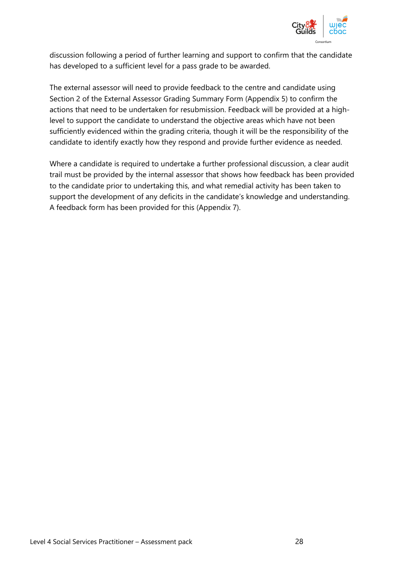

discussion following a period of further learning and support to confirm that the candidate has developed to a sufficient level for a pass grade to be awarded.

The external assessor will need to provide feedback to the centre and candidate using Section 2 of the External Assessor Grading Summary Form (Appendix 5) to confirm the actions that need to be undertaken for resubmission. Feedback will be provided at a highlevel to support the candidate to understand the objective areas which have not been sufficiently evidenced within the grading criteria, though it will be the responsibility of the candidate to identify exactly how they respond and provide further evidence as needed.

Where a candidate is required to undertake a further professional discussion, a clear audit trail must be provided by the internal assessor that shows how feedback has been provided to the candidate prior to undertaking this, and what remedial activity has been taken to support the development of any deficits in the candidate's knowledge and understanding. A feedback form has been provided for this (Appendix 7).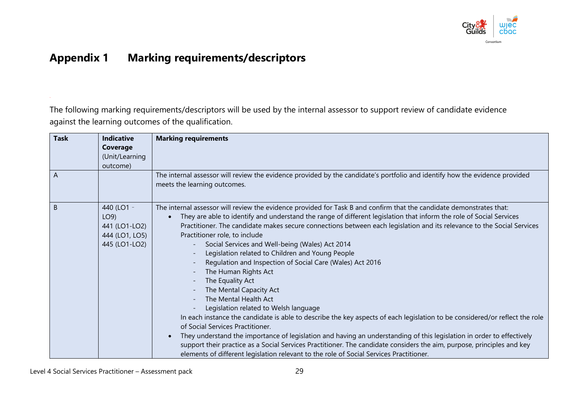

# **Appendix 1 Marking requirements/descriptors**

The following marking requirements/descriptors will be used by the internal assessor to support review of candidate evidence against the learning outcomes of the qualification.

| <b>Task</b> | <b>Indicative</b><br>Coverage<br>(Unit/Learning<br>outcome)           | <b>Marking requirements</b>                                                                                                                                                                                                                                                                                                                                                                                                                                                                                                                                                                                                                                                                                                                                                                                                                                                                                                                                                                                                                                                                                                                                                                                                          |
|-------------|-----------------------------------------------------------------------|--------------------------------------------------------------------------------------------------------------------------------------------------------------------------------------------------------------------------------------------------------------------------------------------------------------------------------------------------------------------------------------------------------------------------------------------------------------------------------------------------------------------------------------------------------------------------------------------------------------------------------------------------------------------------------------------------------------------------------------------------------------------------------------------------------------------------------------------------------------------------------------------------------------------------------------------------------------------------------------------------------------------------------------------------------------------------------------------------------------------------------------------------------------------------------------------------------------------------------------|
| A           |                                                                       | The internal assessor will review the evidence provided by the candidate's portfolio and identify how the evidence provided<br>meets the learning outcomes.                                                                                                                                                                                                                                                                                                                                                                                                                                                                                                                                                                                                                                                                                                                                                                                                                                                                                                                                                                                                                                                                          |
| B           | 440 (LO1 -<br>LO9<br>441 (LO1-LO2)<br>444 (LO1, LO5)<br>445 (LO1-LO2) | The internal assessor will review the evidence provided for Task B and confirm that the candidate demonstrates that:<br>They are able to identify and understand the range of different legislation that inform the role of Social Services<br>Practitioner. The candidate makes secure connections between each legislation and its relevance to the Social Services<br>Practitioner role, to include<br>Social Services and Well-being (Wales) Act 2014<br>Legislation related to Children and Young People<br>Regulation and Inspection of Social Care (Wales) Act 2016<br>The Human Rights Act<br>The Equality Act<br>The Mental Capacity Act<br>The Mental Health Act<br>Legislation related to Welsh language<br>In each instance the candidate is able to describe the key aspects of each legislation to be considered/or reflect the role<br>of Social Services Practitioner.<br>They understand the importance of legislation and having an understanding of this legislation in order to effectively<br>support their practice as a Social Services Practitioner. The candidate considers the aim, purpose, principles and key<br>elements of different legislation relevant to the role of Social Services Practitioner. |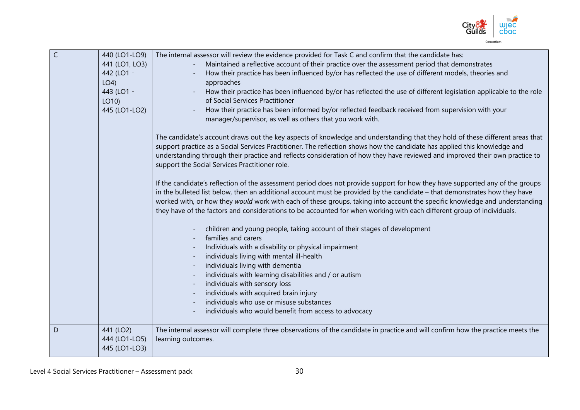

| $\mathsf{C}$<br>D | 440 (LO1-LO9)<br>441 (LO1, LO3)<br>442 (LO1 -<br>$LO4$ )<br>443 (LO1 -<br>LO10<br>445 (LO1-LO2)<br>441 (LO2) | The internal assessor will review the evidence provided for Task C and confirm that the candidate has:<br>Maintained a reflective account of their practice over the assessment period that demonstrates<br>How their practice has been influenced by/or has reflected the use of different models, theories and<br>approaches<br>How their practice has been influenced by/or has reflected the use of different legislation applicable to the role<br>of Social Services Practitioner<br>How their practice has been informed by/or reflected feedback received from supervision with your<br>manager/supervisor, as well as others that you work with.<br>The candidate's account draws out the key aspects of knowledge and understanding that they hold of these different areas that<br>support practice as a Social Services Practitioner. The reflection shows how the candidate has applied this knowledge and<br>understanding through their practice and reflects consideration of how they have reviewed and improved their own practice to<br>support the Social Services Practitioner role.<br>If the candidate's reflection of the assessment period does not provide support for how they have supported any of the groups<br>in the bulleted list below, then an additional account must be provided by the candidate - that demonstrates how they have<br>worked with, or how they would work with each of these groups, taking into account the specific knowledge and understanding<br>they have of the factors and considerations to be accounted for when working with each different group of individuals.<br>children and young people, taking account of their stages of development<br>families and carers<br>Individuals with a disability or physical impairment<br>individuals living with mental ill-health<br>individuals living with dementia<br>individuals with learning disabilities and / or autism<br>individuals with sensory loss<br>individuals with acquired brain injury<br>individuals who use or misuse substances<br>individuals who would benefit from access to advocacy<br>The internal assessor will complete three observations of the candidate in practice and will confirm how the practice meets the |
|-------------------|--------------------------------------------------------------------------------------------------------------|------------------------------------------------------------------------------------------------------------------------------------------------------------------------------------------------------------------------------------------------------------------------------------------------------------------------------------------------------------------------------------------------------------------------------------------------------------------------------------------------------------------------------------------------------------------------------------------------------------------------------------------------------------------------------------------------------------------------------------------------------------------------------------------------------------------------------------------------------------------------------------------------------------------------------------------------------------------------------------------------------------------------------------------------------------------------------------------------------------------------------------------------------------------------------------------------------------------------------------------------------------------------------------------------------------------------------------------------------------------------------------------------------------------------------------------------------------------------------------------------------------------------------------------------------------------------------------------------------------------------------------------------------------------------------------------------------------------------------------------------------------------------------------------------------------------------------------------------------------------------------------------------------------------------------------------------------------------------------------------------------------------------------------------------------------------------------------------------------------------------------------------------------------------------------------------------------------------------------------------------------------|
|                   | 444 (LO1-LO5)<br>445 (LO1-LO3)                                                                               | learning outcomes.                                                                                                                                                                                                                                                                                                                                                                                                                                                                                                                                                                                                                                                                                                                                                                                                                                                                                                                                                                                                                                                                                                                                                                                                                                                                                                                                                                                                                                                                                                                                                                                                                                                                                                                                                                                                                                                                                                                                                                                                                                                                                                                                                                                                                                         |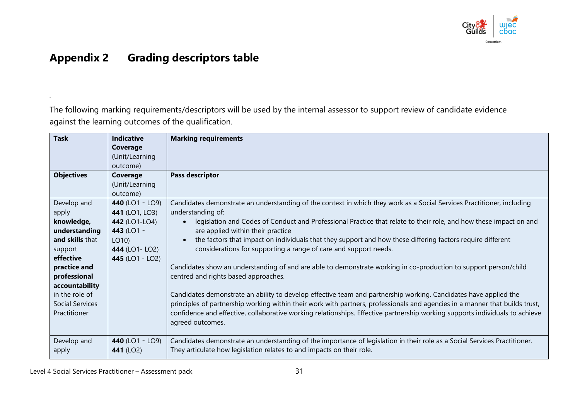

# **Appendix 2 Grading descriptors table**

The following marking requirements/descriptors will be used by the internal assessor to support review of candidate evidence against the learning outcomes of the qualification.

| <b>Task</b>            | <b>Indicative</b> | <b>Marking requirements</b>                                                                                                    |
|------------------------|-------------------|--------------------------------------------------------------------------------------------------------------------------------|
|                        | Coverage          |                                                                                                                                |
|                        | (Unit/Learning    |                                                                                                                                |
|                        | outcome)          |                                                                                                                                |
| <b>Objectives</b>      | Coverage          | Pass descriptor                                                                                                                |
|                        | (Unit/Learning    |                                                                                                                                |
|                        | outcome)          |                                                                                                                                |
| Develop and            | 440 (LO1 - LO9)   | Candidates demonstrate an understanding of the context in which they work as a Social Services Practitioner, including         |
| apply                  | 441 (LO1, LO3)    | understanding of:                                                                                                              |
| knowledge,             | 442 (LO1-LO4)     | legislation and Codes of Conduct and Professional Practice that relate to their role, and how these impact on and<br>$\bullet$ |
| understanding          | 443 (LO1 -        | are applied within their practice                                                                                              |
| and skills that        | LO10)             | the factors that impact on individuals that they support and how these differing factors require different                     |
| support                | 444 (LO1- LO2)    | considerations for supporting a range of care and support needs.                                                               |
| effective              | 445 (LO1 - LO2)   |                                                                                                                                |
| practice and           |                   | Candidates show an understanding of and are able to demonstrate working in co-production to support person/child               |
| professional           |                   | centred and rights based approaches.                                                                                           |
| accountability         |                   |                                                                                                                                |
| in the role of         |                   | Candidates demonstrate an ability to develop effective team and partnership working. Candidates have applied the               |
| <b>Social Services</b> |                   | principles of partnership working within their work with partners, professionals and agencies in a manner that builds trust,   |
| Practitioner           |                   | confidence and effective, collaborative working relationships. Effective partnership working supports individuals to achieve   |
|                        |                   | agreed outcomes.                                                                                                               |
|                        |                   |                                                                                                                                |
| Develop and            | 440 (LO1 - LO9)   | Candidates demonstrate an understanding of the importance of legislation in their role as a Social Services Practitioner.      |
| apply                  | 441 (LO2)         | They articulate how legislation relates to and impacts on their role.                                                          |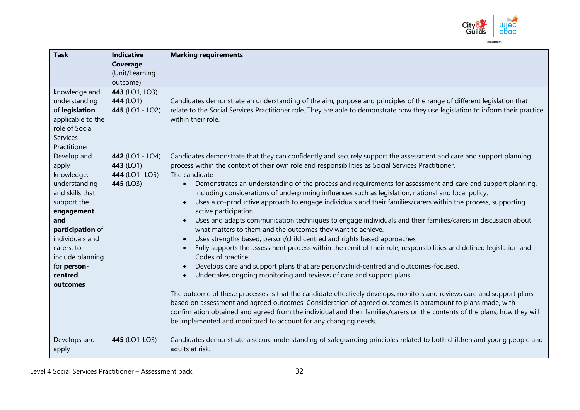

| <b>Task</b>       | <b>Indicative</b> | <b>Marking requirements</b>                                                                                                                                                                                                              |
|-------------------|-------------------|------------------------------------------------------------------------------------------------------------------------------------------------------------------------------------------------------------------------------------------|
|                   | Coverage          |                                                                                                                                                                                                                                          |
|                   | (Unit/Learning    |                                                                                                                                                                                                                                          |
|                   | outcome)          |                                                                                                                                                                                                                                          |
| knowledge and     | 443 (LO1, LO3)    |                                                                                                                                                                                                                                          |
| understanding     | 444 (LO1)         | Candidates demonstrate an understanding of the aim, purpose and principles of the range of different legislation that                                                                                                                    |
| of legislation    | 445 (LO1 - LO2)   | relate to the Social Services Practitioner role. They are able to demonstrate how they use legislation to inform their practice                                                                                                          |
| applicable to the |                   | within their role.                                                                                                                                                                                                                       |
| role of Social    |                   |                                                                                                                                                                                                                                          |
| <b>Services</b>   |                   |                                                                                                                                                                                                                                          |
| Practitioner      |                   |                                                                                                                                                                                                                                          |
| Develop and       | 442 (LO1 - LO4)   | Candidates demonstrate that they can confidently and securely support the assessment and care and support planning                                                                                                                       |
| apply             | 443 (LO1)         | process within the context of their own role and responsibilities as Social Services Practitioner.                                                                                                                                       |
| knowledge,        | 444 (LO1- LO5)    | The candidate                                                                                                                                                                                                                            |
| understanding     | 445 (LO3)         | Demonstrates an understanding of the process and requirements for assessment and care and support planning,<br>$\bullet$                                                                                                                 |
| and skills that   |                   | including considerations of underpinning influences such as legislation, national and local policy.                                                                                                                                      |
| support the       |                   | Uses a co-productive approach to engage individuals and their families/carers within the process, supporting                                                                                                                             |
| engagement        |                   | active participation.                                                                                                                                                                                                                    |
| and               |                   | Uses and adapts communication techniques to engage individuals and their families/carers in discussion about                                                                                                                             |
| participation of  |                   | what matters to them and the outcomes they want to achieve.                                                                                                                                                                              |
| individuals and   |                   | Uses strengths based, person/child centred and rights based approaches                                                                                                                                                                   |
| carers, to        |                   | Fully supports the assessment process within the remit of their role, responsibilities and defined legislation and                                                                                                                       |
| include planning  |                   | Codes of practice.                                                                                                                                                                                                                       |
| for person-       |                   | Develops care and support plans that are person/child-centred and outcomes-focused.                                                                                                                                                      |
| centred           |                   | Undertakes ongoing monitoring and reviews of care and support plans.                                                                                                                                                                     |
| outcomes          |                   |                                                                                                                                                                                                                                          |
|                   |                   | The outcome of these processes is that the candidate effectively develops, monitors and reviews care and support plans                                                                                                                   |
|                   |                   | based on assessment and agreed outcomes. Consideration of agreed outcomes is paramount to plans made, with<br>confirmation obtained and agreed from the individual and their families/carers on the contents of the plans, how they will |
|                   |                   | be implemented and monitored to account for any changing needs.                                                                                                                                                                          |
|                   |                   |                                                                                                                                                                                                                                          |
| Develops and      | 445 (LO1-LO3)     | Candidates demonstrate a secure understanding of safeguarding principles related to both children and young people and                                                                                                                   |
| apply             |                   | adults at risk.                                                                                                                                                                                                                          |
|                   |                   |                                                                                                                                                                                                                                          |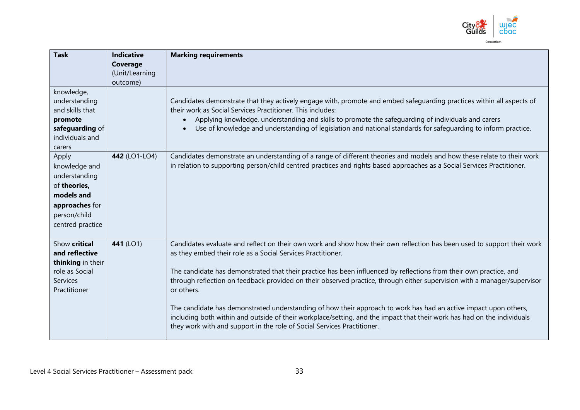

| <b>Task</b>                                                                                                                 | <b>Indicative</b><br>Coverage<br>(Unit/Learning<br>outcome) | <b>Marking requirements</b>                                                                                                                                                                                                                                                                                                                                                                                                                                                                                                                                                                                                                                                                                                                                                      |
|-----------------------------------------------------------------------------------------------------------------------------|-------------------------------------------------------------|----------------------------------------------------------------------------------------------------------------------------------------------------------------------------------------------------------------------------------------------------------------------------------------------------------------------------------------------------------------------------------------------------------------------------------------------------------------------------------------------------------------------------------------------------------------------------------------------------------------------------------------------------------------------------------------------------------------------------------------------------------------------------------|
| knowledge,<br>understanding<br>and skills that<br>promote<br>safeguarding of<br>individuals and<br>carers                   |                                                             | Candidates demonstrate that they actively engage with, promote and embed safeguarding practices within all aspects of<br>their work as Social Services Practitioner. This includes:<br>Applying knowledge, understanding and skills to promote the safeguarding of individuals and carers<br>Use of knowledge and understanding of legislation and national standards for safeguarding to inform practice.                                                                                                                                                                                                                                                                                                                                                                       |
| Apply<br>knowledge and<br>understanding<br>of theories,<br>models and<br>approaches for<br>person/child<br>centred practice | 442 (LO1-LO4)                                               | Candidates demonstrate an understanding of a range of different theories and models and how these relate to their work<br>in relation to supporting person/child centred practices and rights based approaches as a Social Services Practitioner.                                                                                                                                                                                                                                                                                                                                                                                                                                                                                                                                |
| Show critical<br>and reflective<br>thinking in their<br>role as Social<br>Services<br>Practitioner                          | 441 (LO1)                                                   | Candidates evaluate and reflect on their own work and show how their own reflection has been used to support their work<br>as they embed their role as a Social Services Practitioner.<br>The candidate has demonstrated that their practice has been influenced by reflections from their own practice, and<br>through reflection on feedback provided on their observed practice, through either supervision with a manager/supervisor<br>or others.<br>The candidate has demonstrated understanding of how their approach to work has had an active impact upon others,<br>including both within and outside of their workplace/setting, and the impact that their work has had on the individuals<br>they work with and support in the role of Social Services Practitioner. |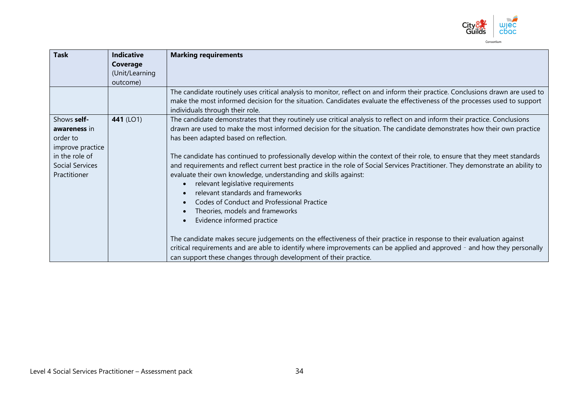

| <b>Task</b>            | <b>Indicative</b><br>Coverage | <b>Marking requirements</b>                                                                                                                                                                                                                                                                                         |
|------------------------|-------------------------------|---------------------------------------------------------------------------------------------------------------------------------------------------------------------------------------------------------------------------------------------------------------------------------------------------------------------|
|                        | (Unit/Learning<br>outcome)    |                                                                                                                                                                                                                                                                                                                     |
|                        |                               | The candidate routinely uses critical analysis to monitor, reflect on and inform their practice. Conclusions drawn are used to<br>make the most informed decision for the situation. Candidates evaluate the effectiveness of the processes used to support<br>individuals through their role.                      |
| Shows self-            | 441 (LO1)                     | The candidate demonstrates that they routinely use critical analysis to reflect on and inform their practice. Conclusions                                                                                                                                                                                           |
| awareness in           |                               | drawn are used to make the most informed decision for the situation. The candidate demonstrates how their own practice                                                                                                                                                                                              |
| order to               |                               | has been adapted based on reflection.                                                                                                                                                                                                                                                                               |
| improve practice       |                               |                                                                                                                                                                                                                                                                                                                     |
| in the role of         |                               | The candidate has continued to professionally develop within the context of their role, to ensure that they meet standards                                                                                                                                                                                          |
| <b>Social Services</b> |                               | and requirements and reflect current best practice in the role of Social Services Practitioner. They demonstrate an ability to                                                                                                                                                                                      |
| Practitioner           |                               | evaluate their own knowledge, understanding and skills against:                                                                                                                                                                                                                                                     |
|                        |                               | relevant legislative requirements                                                                                                                                                                                                                                                                                   |
|                        |                               | relevant standards and frameworks                                                                                                                                                                                                                                                                                   |
|                        |                               | Codes of Conduct and Professional Practice                                                                                                                                                                                                                                                                          |
|                        |                               | Theories, models and frameworks                                                                                                                                                                                                                                                                                     |
|                        |                               | Evidence informed practice                                                                                                                                                                                                                                                                                          |
|                        |                               | The candidate makes secure judgements on the effectiveness of their practice in response to their evaluation against<br>critical requirements and are able to identify where improvements can be applied and approved - and how they personally<br>can support these changes through development of their practice. |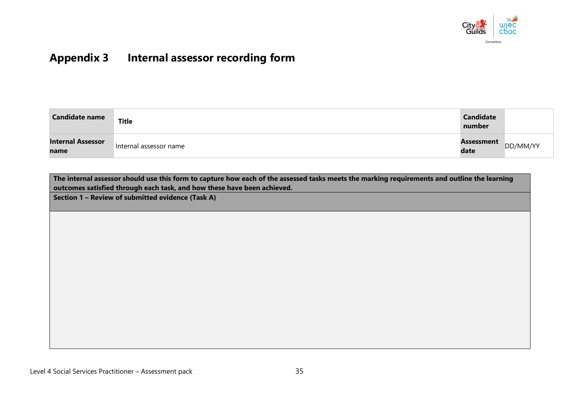

# **Appendix 3 Internal assessor recording form**

| <b>Candidate name</b>            | Title                  | <b>Candidate</b><br>number |          |
|----------------------------------|------------------------|----------------------------|----------|
| <b>Internal Assessor</b><br>name | Internal assessor name | Assessment<br>date         | DD/MM/YY |

**The internal assessor should use this form to capture how each of the assessed tasks meets the marking requirements and outline the learning outcomes satisfied through each task, and how these have been achieved.** 

**Section 1 – Review of submitted evidence (Task A)**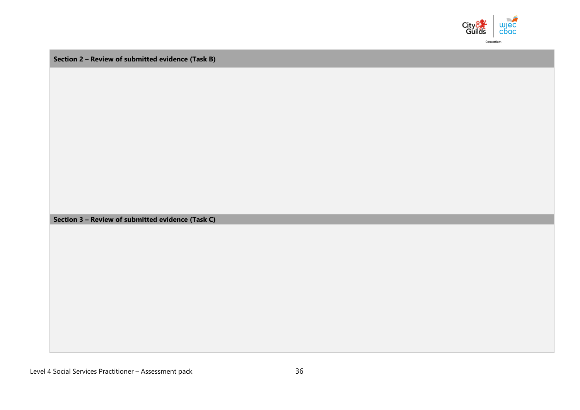

**Section 2 – Review of submitted evidence (Task B)**

**Section 3 – Review of submitted evidence (Task C)**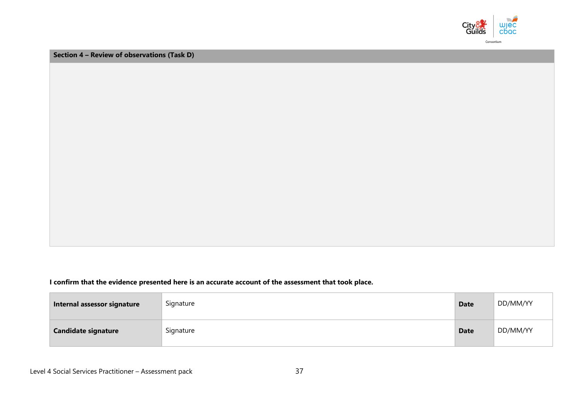

**Section 4 – Review of observations (Task D)**

**I confirm that the evidence presented here is an accurate account of the assessment that took place.**

| Internal assessor signature | Signature | <b>Date</b> | DD/MM/YY |
|-----------------------------|-----------|-------------|----------|
| <b>Candidate signature</b>  | Signature | <b>Date</b> | DD/MM/YY |

Level 4 Social Services Practitioner – Assessment pack 37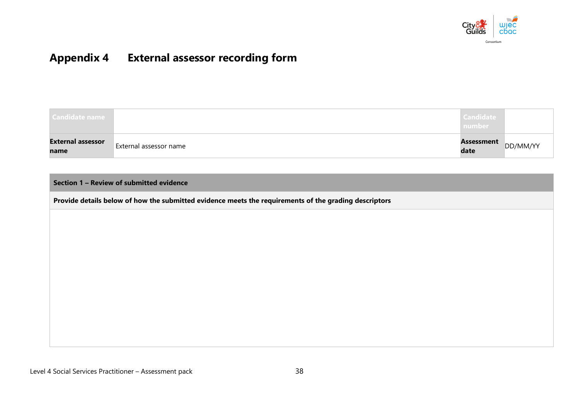

# **Appendix 4 External assessor recording form**

| Candidate name                   |                        | <b>Candidate</b><br>number |          |
|----------------------------------|------------------------|----------------------------|----------|
| <b>External assessor</b><br>name | External assessor name | Assessment<br>date         | DD/MM/YY |

**Section 1 – Review of submitted evidence** 

**Provide details below of how the submitted evidence meets the requirements of the grading descriptors**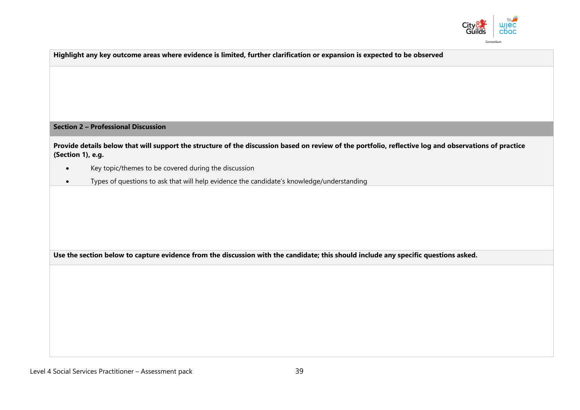

Consortium

| Highlight any key outcome areas where evidence is limited, further clarification or expansion is expected to be observed                                                   |
|----------------------------------------------------------------------------------------------------------------------------------------------------------------------------|
|                                                                                                                                                                            |
|                                                                                                                                                                            |
| <b>Section 2 - Professional Discussion</b>                                                                                                                                 |
| Provide details below that will support the structure of the discussion based on review of the portfolio, reflective log and observations of practice<br>(Section 1), e.g. |
| Key topic/themes to be covered during the discussion<br>$\bullet$                                                                                                          |
| Types of questions to ask that will help evidence the candidate's knowledge/understanding<br>$\bullet$                                                                     |
|                                                                                                                                                                            |
|                                                                                                                                                                            |
|                                                                                                                                                                            |
|                                                                                                                                                                            |
| Use the section below to capture evidence from the discussion with the candidate; this should include any specific questions asked.                                        |
|                                                                                                                                                                            |
|                                                                                                                                                                            |
|                                                                                                                                                                            |
|                                                                                                                                                                            |
|                                                                                                                                                                            |
|                                                                                                                                                                            |
|                                                                                                                                                                            |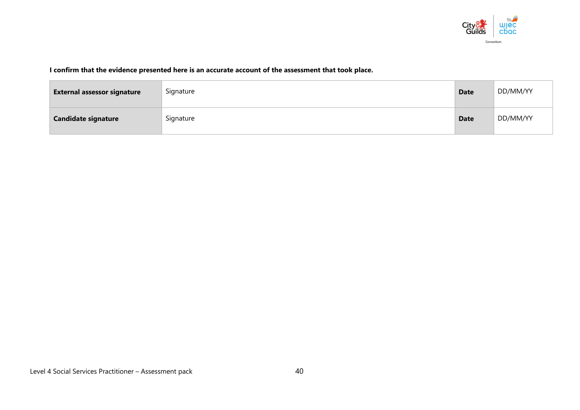

#### **I confirm that the evidence presented here is an accurate account of the assessment that took place.**

| <b>External assessor signature</b> | Signature | <b>Date</b> | DD/MM/YY |
|------------------------------------|-----------|-------------|----------|
| <b>Candidate signature</b>         | Signature | <b>Date</b> | DD/MM/YY |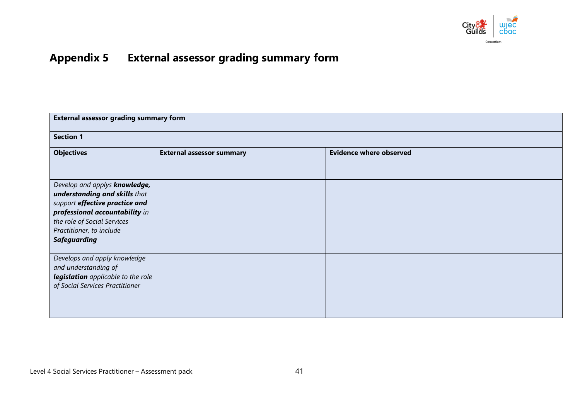

# **Appendix 5 External assessor grading summary form**

| <b>External assessor grading summary form</b>                                                                                                                                                                        |                                  |                                |
|----------------------------------------------------------------------------------------------------------------------------------------------------------------------------------------------------------------------|----------------------------------|--------------------------------|
| <b>Section 1</b>                                                                                                                                                                                                     |                                  |                                |
| <b>Objectives</b>                                                                                                                                                                                                    | <b>External assessor summary</b> | <b>Evidence where observed</b> |
|                                                                                                                                                                                                                      |                                  |                                |
| Develop and applys knowledge,<br>understanding and skills that<br>support effective practice and<br>professional accountability in<br>the role of Social Services<br>Practitioner, to include<br><b>Safeguarding</b> |                                  |                                |
| Develops and apply knowledge<br>and understanding of<br>legislation applicable to the role<br>of Social Services Practitioner                                                                                        |                                  |                                |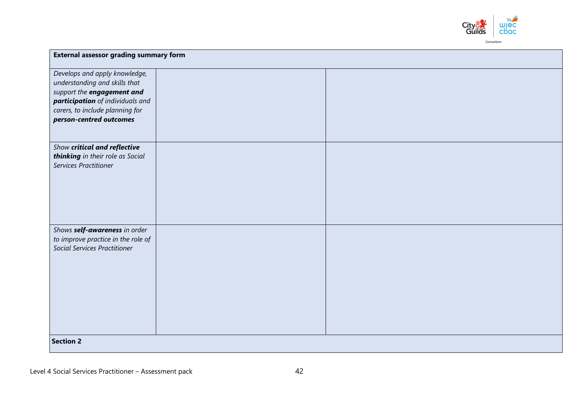

| Develops and apply knowledge,<br>understanding and skills that            |  |  |
|---------------------------------------------------------------------------|--|--|
| support the engagement and                                                |  |  |
| participation of individuals and                                          |  |  |
| carers, to include planning for                                           |  |  |
| person-centred outcomes                                                   |  |  |
|                                                                           |  |  |
| Show critical and reflective                                              |  |  |
| thinking in their role as Social                                          |  |  |
| Services Practitioner                                                     |  |  |
|                                                                           |  |  |
|                                                                           |  |  |
|                                                                           |  |  |
|                                                                           |  |  |
|                                                                           |  |  |
| Shows self-awareness in order                                             |  |  |
| to improve practice in the role of<br><b>Social Services Practitioner</b> |  |  |
|                                                                           |  |  |
|                                                                           |  |  |
|                                                                           |  |  |
|                                                                           |  |  |
|                                                                           |  |  |
|                                                                           |  |  |
|                                                                           |  |  |
|                                                                           |  |  |
| <b>Section 2</b>                                                          |  |  |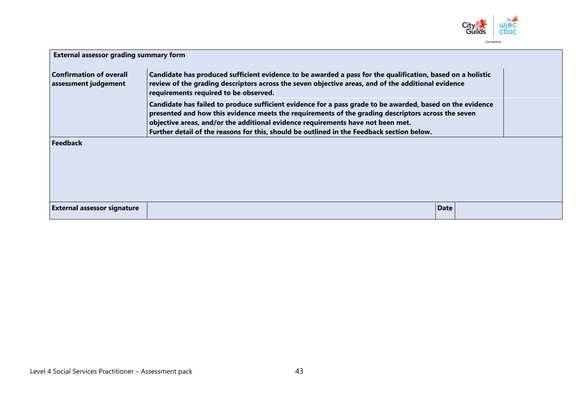

| <b>External assessor grading summary form</b>                                                                                                                                                                                                                                                                                                                                                   |                                                                                                                                                                                                                                                           |      |  |  |
|-------------------------------------------------------------------------------------------------------------------------------------------------------------------------------------------------------------------------------------------------------------------------------------------------------------------------------------------------------------------------------------------------|-----------------------------------------------------------------------------------------------------------------------------------------------------------------------------------------------------------------------------------------------------------|------|--|--|
| <b>Confirmation of overall</b><br>assessment judgement                                                                                                                                                                                                                                                                                                                                          | Candidate has produced sufficient evidence to be awarded a pass for the qualification, based on a holistic<br>review of the grading descriptors across the seven objective areas, and of the additional evidence<br>requirements required to be observed. |      |  |  |
| Candidate has failed to produce sufficient evidence for a pass grade to be awarded, based on the evidence<br>presented and how this evidence meets the requirements of the grading descriptors across the seven<br>objective areas, and/or the additional evidence requirements have not been met.<br>Further detail of the reasons for this, should be outlined in the Feedback section below. |                                                                                                                                                                                                                                                           |      |  |  |
| <b>Feedback</b>                                                                                                                                                                                                                                                                                                                                                                                 |                                                                                                                                                                                                                                                           |      |  |  |
| <b>External assessor signature</b>                                                                                                                                                                                                                                                                                                                                                              |                                                                                                                                                                                                                                                           | Date |  |  |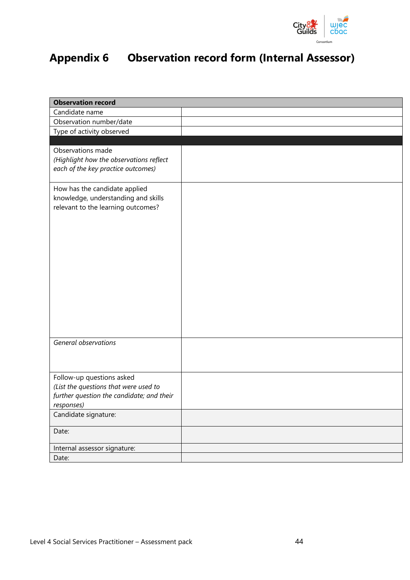

# **Appendix 6 Observation record form (Internal Assessor)**

| <b>Observation record</b>                                          |  |
|--------------------------------------------------------------------|--|
| Candidate name                                                     |  |
| Observation number/date                                            |  |
| Type of activity observed                                          |  |
|                                                                    |  |
| Observations made                                                  |  |
| (Highlight how the observations reflect                            |  |
| each of the key practice outcomes)                                 |  |
|                                                                    |  |
| How has the candidate applied                                      |  |
| knowledge, understanding and skills                                |  |
| relevant to the learning outcomes?                                 |  |
|                                                                    |  |
|                                                                    |  |
|                                                                    |  |
|                                                                    |  |
|                                                                    |  |
|                                                                    |  |
|                                                                    |  |
|                                                                    |  |
|                                                                    |  |
|                                                                    |  |
|                                                                    |  |
|                                                                    |  |
| General observations                                               |  |
|                                                                    |  |
|                                                                    |  |
|                                                                    |  |
| Follow-up questions asked<br>(List the questions that were used to |  |
| further question the candidate; and their                          |  |
| responses)                                                         |  |
| Candidate signature:                                               |  |
|                                                                    |  |
| Date:                                                              |  |
|                                                                    |  |
| Internal assessor signature:                                       |  |
| Date:                                                              |  |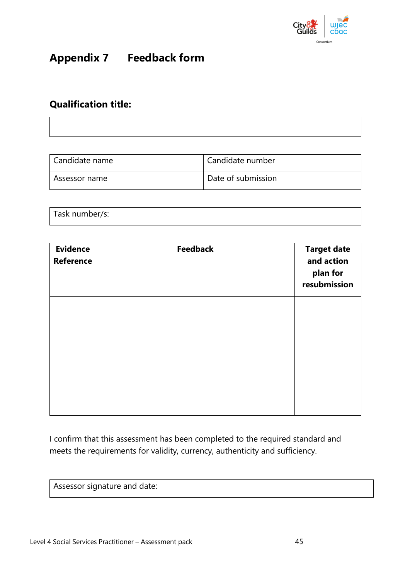

# **Appendix 7 Feedback form**

## **Qualification title:**

| Candidate name | Candidate number   |
|----------------|--------------------|
| Assessor name  | Date of submission |

| Task number/s: |  |  |  |
|----------------|--|--|--|
|                |  |  |  |

| <b>Evidence</b><br><b>Reference</b> | <b>Feedback</b> | <b>Target date</b><br>and action<br>plan for<br>resubmission |
|-------------------------------------|-----------------|--------------------------------------------------------------|
|                                     |                 |                                                              |
|                                     |                 |                                                              |
|                                     |                 |                                                              |

I confirm that this assessment has been completed to the required standard and meets the requirements for validity, currency, authenticity and sufficiency.

Assessor signature and date: